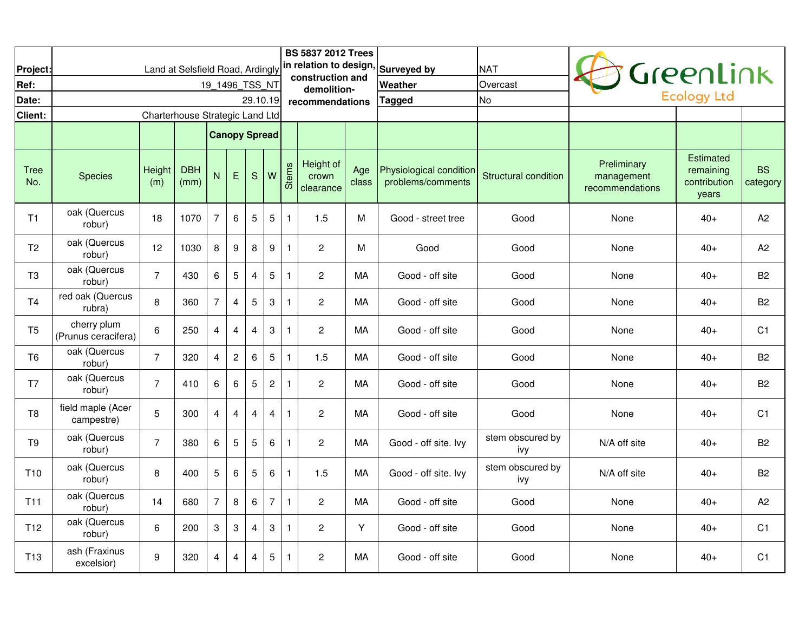| Project:           |                                    |                                 | Land at Selsfield Road, Ardingly |                      |                |             |                           |              | <b>BS 5837 2012 Trees</b><br>in relation to design. |              | <b>Surveyed by</b>                           | <b>NAT</b>                  |                                              | GreenLink                                       |                       |
|--------------------|------------------------------------|---------------------------------|----------------------------------|----------------------|----------------|-------------|---------------------------|--------------|-----------------------------------------------------|--------------|----------------------------------------------|-----------------------------|----------------------------------------------|-------------------------------------------------|-----------------------|
| Ref:               |                                    |                                 |                                  | 19 1496 TSS NT       |                |             |                           |              | construction and<br>demolition-                     |              | <b>IWeather</b>                              | Overcast                    |                                              |                                                 |                       |
| Date:              |                                    |                                 |                                  |                      |                | 29.10.19    |                           |              | recommendations                                     |              | <b>Tagged</b>                                | <b>No</b>                   |                                              | <b>Ecology Ltd</b>                              |                       |
| Client:            |                                    | Charterhouse Strategic Land Ltd |                                  |                      |                |             |                           |              |                                                     |              |                                              |                             |                                              |                                                 |                       |
|                    |                                    |                                 |                                  | <b>Canopy Spread</b> |                |             |                           |              |                                                     |              |                                              |                             |                                              |                                                 |                       |
| <b>Tree</b><br>No. | <b>Species</b>                     | Height<br>(m)                   | <b>DBH</b><br>(mm)               | N                    | E              | $\mathbf S$ | W                         | <b>Stems</b> | Height of<br>crown<br>clearance                     | Age<br>class | Physiological condition<br>problems/comments | <b>Structural condition</b> | Preliminary<br>management<br>recommendations | Estimated<br>remaining<br>contribution<br>years | <b>BS</b><br>category |
| T1                 | oak (Quercus<br>robur)             | 18                              | 1070                             | $\overline{7}$       | 6              | 5           | $\overline{5}$            | $\mathbf{1}$ | 1.5                                                 | M            | Good - street tree                           | Good                        | None                                         | $40+$                                           | A2                    |
| T <sub>2</sub>     | oak (Quercus<br>robur)             | 12                              | 1030                             | 8                    | 9              | 8           | 9                         | $\mathbf{1}$ | $\overline{2}$                                      | M            | Good                                         | Good                        | None                                         | $40+$                                           | A2                    |
| T <sub>3</sub>     | oak (Quercus<br>robur)             | $\overline{7}$                  | 430                              | 6                    | $\overline{5}$ | 4           | 5                         | $\mathbf{1}$ | $\overline{2}$                                      | MA           | Good - off site                              | Good                        | None                                         | $40+$                                           | B <sub>2</sub>        |
| T <sub>4</sub>     | red oak (Quercus<br>rubra)         | 8                               | 360                              | $\overline{7}$       | $\overline{4}$ | $\mathbf 5$ | $\ensuremath{\mathsf{3}}$ | $\mathbf{1}$ | 2                                                   | МA           | Good - off site                              | Good                        | None                                         | $40+$                                           | B <sub>2</sub>        |
| T <sub>5</sub>     | cherry plum<br>(Prunus ceracifera) | 6                               | 250                              | $\overline{4}$       | $\overline{4}$ | 4           | $\boldsymbol{3}$          | $\mathbf{1}$ | $\mathbf{2}$                                        | MA           | Good - off site                              | Good                        | None                                         | $40+$                                           | C <sub>1</sub>        |
| T <sub>6</sub>     | oak (Quercus<br>robur)             | $\overline{7}$                  | 320                              | $\overline{4}$       | $\overline{c}$ | 6           | $\overline{5}$            | $\mathbf{1}$ | 1.5                                                 | MA           | Good - off site                              | Good                        | None                                         | $40+$                                           | <b>B2</b>             |
| T7                 | oak (Quercus<br>robur)             | $\overline{7}$                  | 410                              | 6                    | 6              | 5           | $\sqrt{2}$                | $\mathbf{1}$ | $\overline{2}$                                      | MA           | Good - off site                              | Good                        | None                                         | $40+$                                           | <b>B2</b>             |
| T8                 | field maple (Acer<br>campestre)    | 5                               | 300                              | 4                    | 4              | 4           | $\overline{4}$            | $\mathbf{1}$ | $\overline{c}$                                      | MA           | Good - off site                              | Good                        | None                                         | $40+$                                           | C <sub>1</sub>        |
| T9                 | oak (Quercus<br>robur)             | $\overline{7}$                  | 380                              | 6                    | $\sqrt{5}$     | 5           | $\,6\,$                   | $\mathbf{1}$ | 2                                                   | МA           | Good - off site. Ivy                         | stem obscured by<br>ivy     | N/A off site                                 | $40+$                                           | B <sub>2</sub>        |
| T <sub>10</sub>    | oak (Quercus<br>robur)             | 8                               | 400                              | 5                    | $\,6\,$        | $\sqrt{5}$  | 6                         | $\mathbf{1}$ | 1.5                                                 | MA           | Good - off site. Ivy                         | stem obscured by<br>ivy     | N/A off site                                 | $40+$                                           | B <sub>2</sub>        |
| T <sub>11</sub>    | oak (Quercus<br>robur)             | 14                              | 680                              | $\overline{7}$       | 8              | 6           | $\overline{7}$            | $\mathbf{1}$ | $\mathbf{2}$                                        | MA           | Good - off site                              | Good                        | None                                         | $40+$                                           | A2                    |
| T <sub>12</sub>    | oak (Quercus<br>robur)             | 6                               | 200                              | 3                    | 3              | 4           | $\boldsymbol{3}$          | $\mathbf{1}$ | $\mathbf{2}$                                        | Y            | Good - off site                              | Good                        | None                                         | $40+$                                           | C <sub>1</sub>        |
| T <sub>13</sub>    | ash (Fraxinus<br>excelsior)        | 9                               | 320                              | 4                    | $\overline{4}$ | 4           | 5                         | $\mathbf{1}$ | $\mathbf{2}$                                        | MA           | Good - off site                              | Good                        | None                                         | $40+$                                           | C <sub>1</sub>        |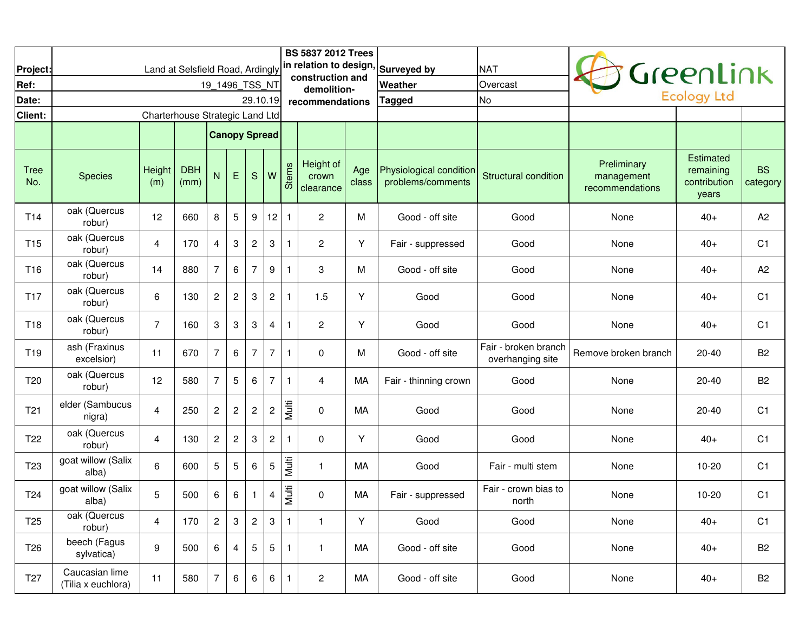|                    |                                      |                                 |                                  |                           |                           |                 |                         |              | <b>BS 5837 2012 Trees</b>       |              | in relation to design, Surveyed by           | <b>NAT</b>                               |                                              |                                                        |                       |
|--------------------|--------------------------------------|---------------------------------|----------------------------------|---------------------------|---------------------------|-----------------|-------------------------|--------------|---------------------------------|--------------|----------------------------------------------|------------------------------------------|----------------------------------------------|--------------------------------------------------------|-----------------------|
| Project:<br>Ref:   |                                      |                                 | Land at Selsfield Road, Ardingly | 19 1496 TSS NT            |                           |                 |                         |              | construction and                |              | Weather                                      | Overcast                                 |                                              | GreenLink                                              |                       |
| Date:              |                                      |                                 |                                  |                           |                           | 29.10.19        |                         |              | demolition-<br>recommendations  |              | Tagged                                       | <b>No</b>                                |                                              |                                                        |                       |
| Client:            |                                      | Charterhouse Strategic Land Ltd |                                  |                           |                           |                 |                         |              |                                 |              |                                              |                                          |                                              |                                                        |                       |
|                    |                                      |                                 |                                  | <b>Canopy Spread</b>      |                           |                 |                         |              |                                 |              |                                              |                                          |                                              |                                                        |                       |
| <b>Tree</b><br>No. | <b>Species</b>                       | Height<br>(m)                   | <b>DBH</b><br>(mm)               | N                         | E                         | S               | W                       | Stems        | Height of<br>crown<br>clearance | Age<br>class | Physiological condition<br>problems/comments | <b>Structural condition</b>              | Preliminary<br>management<br>recommendations | <b>Estimated</b><br>remaining<br>contribution<br>years | <b>BS</b><br>category |
| T14                | oak (Quercus<br>robur)               | 12                              | 660                              | 8                         | $\overline{5}$            | 9               | 12                      | $\mathbf{1}$ | $\overline{c}$                  | M            | Good - off site                              | Good                                     | None                                         | $40+$                                                  | A <sub>2</sub>        |
| T <sub>15</sub>    | oak (Quercus<br>robur)               | 4                               | 170                              | 4                         | $\sqrt{3}$                | $\overline{c}$  | $\boldsymbol{3}$        | $\mathbf{1}$ | 2                               | Υ            | Fair - suppressed                            | Good                                     | None                                         | $40+$                                                  | C <sub>1</sub>        |
| T <sub>16</sub>    | oak (Quercus<br>robur)               | 14                              | 880                              | $\overline{7}$            | $6\phantom{1}6$           | 7               | $9\,$                   | $\mathbf{1}$ | 3                               | M            | Good - off site                              | Good                                     | None                                         | $40+$                                                  | A2                    |
| T <sub>17</sub>    | oak (Quercus<br>robur)               | 6                               | 130                              | $\overline{c}$            | $\overline{c}$            | 3               | $\overline{c}$          | $\mathbf{1}$ | 1.5                             | Y            | Good                                         | Good                                     | None                                         | $40+$                                                  | C <sub>1</sub>        |
| T <sub>18</sub>    | oak (Quercus<br>robur)               | $\overline{7}$                  | 160                              | $\ensuremath{\mathsf{3}}$ | $\sqrt{3}$                | 3               | $\overline{4}$          | $\mathbf{1}$ | $\overline{c}$                  | Υ            | Good                                         | Good                                     | None                                         | $40+$                                                  | C <sub>1</sub>        |
| T <sub>19</sub>    | ash (Fraxinus<br>excelsior)          | 11                              | 670                              | $\overline{7}$            | $6\phantom{1}6$           | 7               | $\overline{7}$          | $\mathbf{1}$ | 0                               | M            | Good - off site                              | Fair - broken branch<br>overhanging site | Remove broken branch                         | $20 - 40$                                              | <b>B2</b>             |
| T <sub>20</sub>    | oak (Quercus<br>robur)               | 12                              | 580                              | $\overline{7}$            | $\overline{5}$            | 6               | $\overline{7}$          | $\mathbf{1}$ | 4                               | MA           | Fair - thinning crown                        | Good                                     | None                                         | $20 - 40$                                              | <b>B2</b>             |
| T <sub>21</sub>    | elder (Sambucus<br>nigra)            | $\overline{4}$                  | 250                              | $\overline{\mathbf{c}}$   | $\sqrt{2}$                | $\sqrt{2}$      | $\overline{\mathbf{c}}$ | Multi        | 0                               | МA           | Good                                         | Good                                     | None                                         | $20 - 40$                                              | C <sub>1</sub>        |
| T <sub>22</sub>    | oak (Quercus<br>robur)               | 4                               | 130                              | $\overline{\mathbf{c}}$   | $\overline{c}$            | 3               | $\sqrt{2}$              | $\mathbf{1}$ | 0                               | Y            | Good                                         | Good                                     | None                                         | $40+$                                                  | C <sub>1</sub>        |
| T <sub>23</sub>    | goat willow (Salix<br>alba)          | 6                               | 600                              | 5                         | $\overline{5}$            | 6               | $5\,$                   | Multi        | 1                               | MA           | Good                                         | Fair - multi stem                        | None                                         | $10 - 20$                                              | C <sub>1</sub>        |
| T <sub>24</sub>    | goat willow (Salix<br>alba)          | 5                               | 500                              | 6                         | 6                         | 1               | 4                       | Multi        | 0                               | МA           | Fair - suppressed                            | Fair - crown bias to<br>north            | None                                         | $10 - 20$                                              | C <sub>1</sub>        |
| T <sub>25</sub>    | oak (Quercus<br>robur)               | 4                               | 170                              | $\overline{2}$            | $\ensuremath{\mathsf{3}}$ | $\mathbf{2}$    | $\mathbf{3}$            | $\mathbf{1}$ | $\mathbf{1}$                    | Y            | Good                                         | Good                                     | None                                         | $40+$                                                  | C1                    |
| T <sub>26</sub>    | beech (Fagus<br>sylvatica)           | 9                               | 500                              | 6                         | 4                         | $5\phantom{.0}$ | 5                       | $\mathbf{1}$ | 1                               | MA           | Good - off site                              | Good                                     | None                                         | $40+$                                                  | <b>B2</b>             |
| T <sub>27</sub>    | Caucasian lime<br>(Tilia x euchlora) | 11                              | 580                              | 7                         | 6                         | 6               | 6                       | $\mathbf{1}$ | $\overline{a}$                  | МA           | Good - off site                              | Good                                     | None                                         | $40+$                                                  | B <sub>2</sub>        |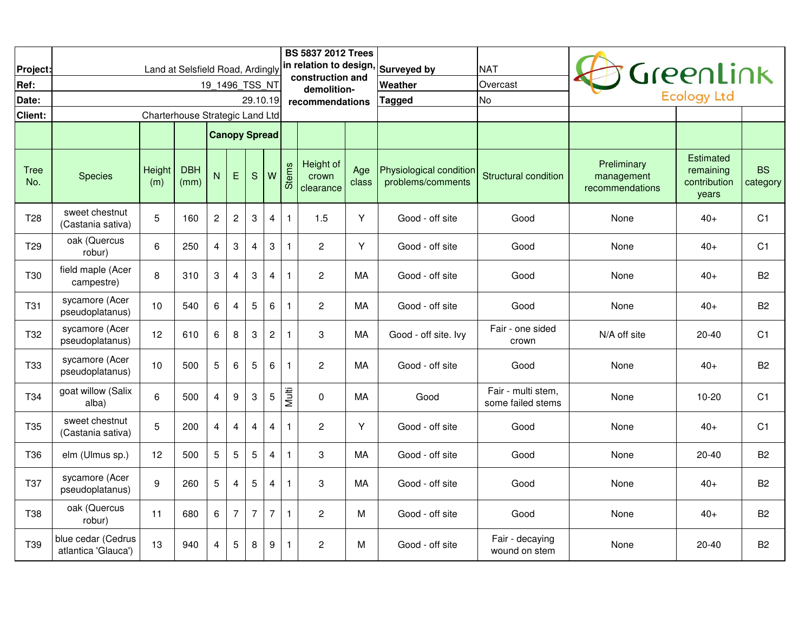| Project:           |                                           |                                 | Land at Selsfield Road, Ardingly |                      |                           |                         |                  |              | <b>BS 5837 2012 Trees</b><br>in relation to design,<br>construction and |              | Surveyed by                                  | <b>NAT</b>                              |                                              | Greenlink                                              |                       |
|--------------------|-------------------------------------------|---------------------------------|----------------------------------|----------------------|---------------------------|-------------------------|------------------|--------------|-------------------------------------------------------------------------|--------------|----------------------------------------------|-----------------------------------------|----------------------------------------------|--------------------------------------------------------|-----------------------|
| Ref:               |                                           |                                 |                                  | 19_1496_TSS_NT       |                           |                         |                  |              | demolition-                                                             |              | Weather                                      | Overcast                                |                                              | <b>Ecology Ltd</b>                                     |                       |
| Date:              |                                           |                                 |                                  |                      |                           | 29.10.19                |                  |              | recommendations                                                         |              | Tagged                                       | <b>No</b>                               |                                              |                                                        |                       |
| Client:            |                                           | Charterhouse Strategic Land Ltd |                                  |                      |                           |                         |                  |              |                                                                         |              |                                              |                                         |                                              |                                                        |                       |
|                    |                                           |                                 |                                  | <b>Canopy Spread</b> |                           |                         |                  |              |                                                                         |              |                                              |                                         |                                              |                                                        |                       |
| <b>Tree</b><br>No. | <b>Species</b>                            | Height<br>(m)                   | <b>DBH</b><br>(mm)               | N                    | E                         | $\mathbf S$             | W                | <b>Stems</b> | Height of<br>crown<br>clearance                                         | Age<br>class | Physiological condition<br>problems/comments | Structural condition                    | Preliminary<br>management<br>recommendations | <b>Estimated</b><br>remaining<br>contribution<br>years | <b>BS</b><br>category |
| T <sub>28</sub>    | sweet chestnut<br>(Castania sativa)       | 5                               | 160                              | $\sqrt{2}$           | $\sqrt{2}$                | $\sqrt{3}$              | $\overline{4}$   | $\mathbf{1}$ | 1.5                                                                     | Y            | Good - off site                              | Good                                    | None                                         | $40+$                                                  | C <sub>1</sub>        |
| T <sub>29</sub>    | oak (Quercus<br>robur)                    | 6                               | 250                              | $\overline{4}$       | $\ensuremath{\mathsf{3}}$ | $\overline{\mathbf{4}}$ | $\sqrt{3}$       | $\mathbf{1}$ | $\overline{c}$                                                          | Y            | Good - off site                              | Good                                    | None                                         | $40+$                                                  | C <sub>1</sub>        |
| T <sub>30</sub>    | field maple (Acer<br>campestre)           | 8                               | 310                              | 3                    | $\overline{4}$            | 3                       | $\overline{4}$   | $\mathbf{1}$ | 2                                                                       | MA           | Good - off site                              | Good                                    | None                                         | $40+$                                                  | <b>B2</b>             |
| <b>T31</b>         | sycamore (Acer<br>pseudoplatanus)         | 10                              | 540                              | 6                    | $\overline{4}$            | $\sqrt{5}$              | 6                | $\mathbf{1}$ | $\overline{c}$                                                          | MA           | Good - off site                              | Good                                    | None                                         | $40+$                                                  | B <sub>2</sub>        |
| T32                | sycamore (Acer<br>pseudoplatanus)         | 12                              | 610                              | 6                    | 8                         | 3                       | $\overline{c}$   | $\mathbf{1}$ | 3                                                                       | MA           | Good - off site. Ivy                         | Fair - one sided<br>crown               | N/A off site                                 | 20-40                                                  | C <sub>1</sub>        |
| <b>T33</b>         | sycamore (Acer<br>pseudoplatanus)         | 10                              | 500                              | 5                    | $\,6\,$                   | 5                       | 6                | $\mathbf{1}$ | $\overline{c}$                                                          | MA           | Good - off site                              | Good                                    | None                                         | $40+$                                                  | B <sub>2</sub>        |
| T34                | goat willow (Salix<br>alba)               | 6                               | 500                              | $\overline{4}$       | $\boldsymbol{9}$          | $\sqrt{3}$              | 5                | Multi        | $\Omega$                                                                | MA           | Good                                         | Fair - multi stem,<br>some failed stems | None                                         | $10 - 20$                                              | C <sub>1</sub>        |
| T <sub>35</sub>    | sweet chestnut<br>(Castania sativa)       | 5                               | 200                              | $\overline{4}$       | 4                         | 4                       | $\overline{4}$   | $\mathbf{1}$ | $\overline{c}$                                                          | Υ            | Good - off site                              | Good                                    | None                                         | $40+$                                                  | C <sub>1</sub>        |
| T36                | elm (Ulmus sp.)                           | 12                              | 500                              | 5                    | $\overline{5}$            | $\sqrt{5}$              | $\overline{4}$   | $\mathbf{1}$ | 3                                                                       | MA           | Good - off site                              | Good                                    | None                                         | $20 - 40$                                              | B <sub>2</sub>        |
| T37                | sycamore (Acer<br>pseudoplatanus)         | 9                               | 260                              | 5                    | $\overline{4}$            | 5                       | $\overline{4}$   | $\mathbf{1}$ | 3                                                                       | MA           | Good - off site                              | Good                                    | None                                         | $40+$                                                  | B <sub>2</sub>        |
| T38                | oak (Quercus<br>robur)                    | 11                              | 680                              | 6                    | $\overline{7}$            | $\overline{7}$          | $\overline{7}$   | $\mathbf{1}$ | $\overline{c}$                                                          | M            | Good - off site                              | Good                                    | None                                         | $40+$                                                  | <b>B2</b>             |
| T39                | blue cedar (Cedrus<br>atlantica 'Glauca') | 13                              | 940                              | 4                    | 5                         | 8                       | $\boldsymbol{9}$ | $\mathbf{1}$ | $\overline{c}$                                                          | М            | Good - off site                              | Fair - decaying<br>wound on stem        | None                                         | 20-40                                                  | B <sub>2</sub>        |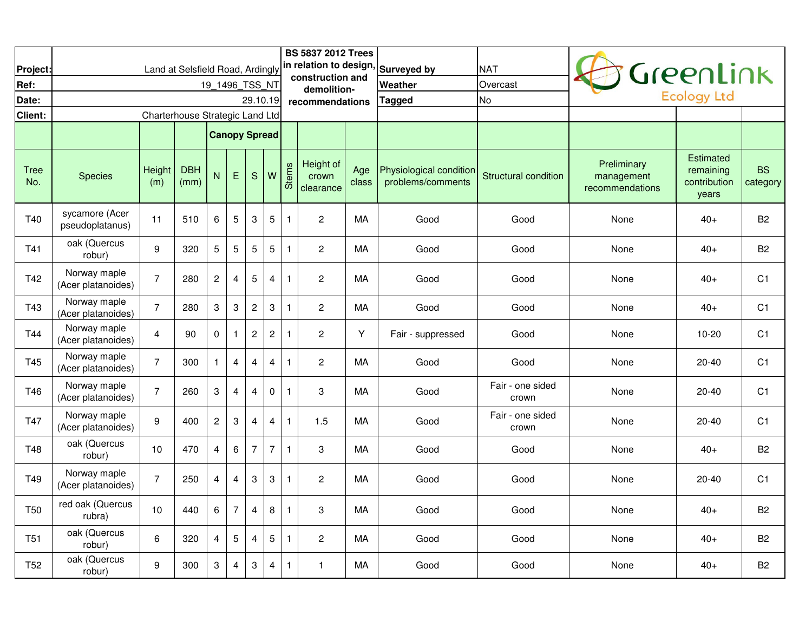|                    |                                    |                                 |                                  |                      |                 |                           |                |              | <b>BS 5837 2012 Trees</b>                  |              |                                              |                             |                                              |                                                        |                       |
|--------------------|------------------------------------|---------------------------------|----------------------------------|----------------------|-----------------|---------------------------|----------------|--------------|--------------------------------------------|--------------|----------------------------------------------|-----------------------------|----------------------------------------------|--------------------------------------------------------|-----------------------|
| Project:           |                                    |                                 | Land at Selsfield Road, Ardingly |                      |                 |                           |                |              | in relation to design,<br>construction and |              | <b>Surveyed by</b>                           | <b>NAT</b>                  |                                              | GreenLink                                              |                       |
| Ref:               |                                    |                                 |                                  | 19 1496 TSS NT       |                 |                           |                |              | demolition-                                |              | Weather                                      | Overcast                    |                                              |                                                        |                       |
| Date:              |                                    |                                 |                                  |                      |                 | 29.10.19                  |                |              | recommendations                            |              | Tagged                                       | <b>No</b>                   |                                              | <b>Ecology Ltd</b>                                     |                       |
| Client:            |                                    | Charterhouse Strategic Land Ltd |                                  |                      |                 |                           |                |              |                                            |              |                                              |                             |                                              |                                                        |                       |
|                    |                                    |                                 |                                  | <b>Canopy Spread</b> |                 |                           |                |              |                                            |              |                                              |                             |                                              |                                                        |                       |
| <b>Tree</b><br>No. | <b>Species</b>                     | Height<br>(m)                   | <b>DBH</b><br>(mm)               | N                    | E               | S.                        | W              | <b>Stems</b> | Height of<br>crown<br>clearance            | Age<br>class | Physiological condition<br>problems/comments | <b>Structural condition</b> | Preliminary<br>management<br>recommendations | <b>Estimated</b><br>remaining<br>contribution<br>years | <b>BS</b><br>category |
| T40                | sycamore (Acer<br>pseudoplatanus)  | 11                              | 510                              | 6                    | 5               | $\ensuremath{\mathsf{3}}$ | $\sqrt{5}$     | $\mathbf{1}$ | $\overline{c}$                             | МA           | Good                                         | Good                        | None                                         | $40+$                                                  | <b>B2</b>             |
| T41                | oak (Quercus<br>robur)             | 9                               | 320                              | 5                    | 5               | 5                         | 5              | $\mathbf{1}$ | $\overline{2}$                             | МA           | Good                                         | Good                        | None                                         | $40+$                                                  | <b>B2</b>             |
| T42                | Norway maple<br>(Acer platanoides) | $\overline{7}$                  | 280                              | $\overline{c}$       | $\overline{4}$  | 5                         | $\overline{4}$ | $\mathbf{1}$ | $\overline{c}$                             | MA           | Good                                         | Good                        | None                                         | $40+$                                                  | C <sub>1</sub>        |
| T43                | Norway maple<br>(Acer platanoides) | $\overline{7}$                  | 280                              | 3                    | $\sqrt{3}$      | $\overline{c}$            | $\mathbf{3}$   | $\mathbf{1}$ | $\overline{c}$                             | MA           | Good                                         | Good                        | None                                         | $40+$                                                  | C <sub>1</sub>        |
| T44                | Norway maple<br>(Acer platanoides) | $\overline{4}$                  | 90                               | $\mathbf 0$          | $\mathbf{1}$    | $\overline{c}$            | $\mathbf{2}$   | $\mathbf{1}$ | $\overline{c}$                             | Υ            | Fair - suppressed                            | Good                        | None                                         | $10 - 20$                                              | C <sub>1</sub>        |
| T45                | Norway maple<br>(Acer platanoides) | $\overline{7}$                  | 300                              | $\mathbf{1}$         | $\overline{4}$  | $\overline{4}$            | $\overline{4}$ | $\mathbf{1}$ | $\overline{2}$                             | MA           | Good                                         | Good                        | None                                         | 20-40                                                  | C <sub>1</sub>        |
| T46                | Norway maple<br>(Acer platanoides) | $\overline{7}$                  | 260                              | 3                    | $\overline{4}$  | $\overline{4}$            | $\mathbf 0$    | $\mathbf{1}$ | 3                                          | МA           | Good                                         | Fair - one sided<br>crown   | None                                         | $20 - 40$                                              | C <sub>1</sub>        |
| T47                | Norway maple<br>(Acer platanoides) | 9                               | 400                              | $\overline{c}$       | 3               | $\overline{\mathbf{4}}$   | $\overline{4}$ | $\mathbf{1}$ | 1.5                                        | MA           | Good                                         | Fair - one sided<br>crown   | None                                         | $20 - 40$                                              | C <sub>1</sub>        |
| T48                | oak (Quercus<br>robur)             | 10                              | 470                              | $\overline{4}$       | $6\phantom{1}6$ | $\overline{7}$            | $\overline{7}$ | $\mathbf{1}$ | 3                                          | МA           | Good                                         | Good                        | None                                         | $40+$                                                  | B <sub>2</sub>        |
| T49                | Norway maple<br>(Acer platanoides) | $\overline{7}$                  | 250                              | 4                    | $\overline{4}$  | 3                         | 3              | $\mathbf{1}$ | $\overline{2}$                             | МA           | Good                                         | Good                        | None                                         | 20-40                                                  | C <sub>1</sub>        |
| <b>T50</b>         | red oak (Quercus<br>rubra)         | 10                              | 440                              | 6                    | $\overline{7}$  | 4                         | 8              | $\mathbf{1}$ | 3                                          | МA           | Good                                         | Good                        | None                                         | $40+$                                                  | B <sub>2</sub>        |
| T <sub>51</sub>    | oak (Quercus<br>robur)             | 6                               | 320                              | $\overline{4}$       | 5               | $\overline{4}$            | 5              | $\mathbf{1}$ | $\overline{c}$                             | MA           | Good                                         | Good                        | None                                         | $40+$                                                  | B <sub>2</sub>        |
| T <sub>52</sub>    | oak (Quercus<br>robur)             | 9                               | 300                              | 3                    | $\overline{4}$  | 3                         | 4              | $\mathbf{1}$ | $\mathbf{1}$                               | MA           | Good                                         | Good                        | None                                         | $40+$                                                  | <b>B2</b>             |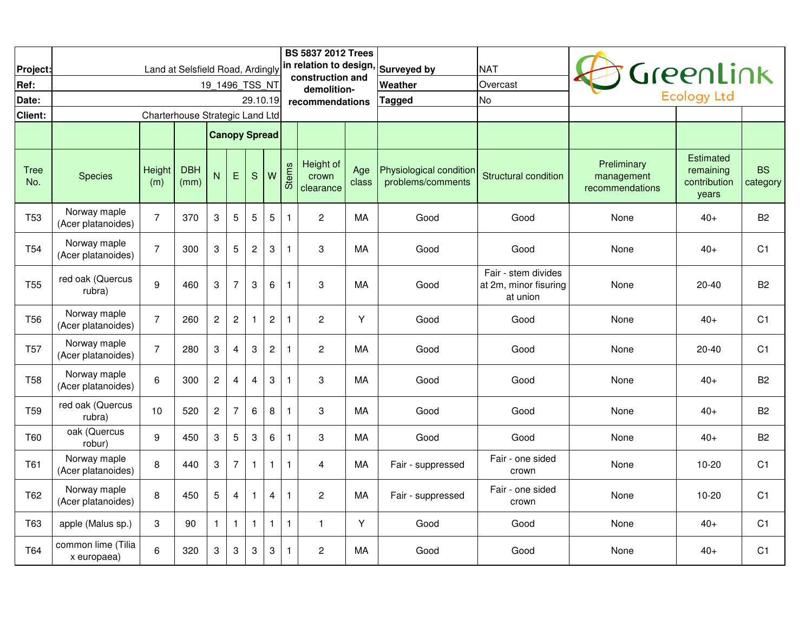| Project:           |                                    |                                 | Land at Selsfield Road, Ardingly |                           |                |                |                |              | <b>BS 5837 2012 Trees</b>       |              | in relation to design, Surveyed by           | <b>NAT</b>                                               |                                              |                                                        |                       |
|--------------------|------------------------------------|---------------------------------|----------------------------------|---------------------------|----------------|----------------|----------------|--------------|---------------------------------|--------------|----------------------------------------------|----------------------------------------------------------|----------------------------------------------|--------------------------------------------------------|-----------------------|
| Ref:               |                                    |                                 |                                  | 19 1496 TSS NT            |                |                |                |              | construction and                |              | Weather                                      | Overcast                                                 |                                              | Greenlink                                              |                       |
| Date:              |                                    |                                 |                                  |                           |                | 29.10.19       |                |              | demolition-<br>recommendations  |              | Tagged                                       | <b>No</b>                                                |                                              | <b>Ecology Ltd</b>                                     |                       |
| Client:            |                                    | Charterhouse Strategic Land Ltd |                                  |                           |                |                |                |              |                                 |              |                                              |                                                          |                                              |                                                        |                       |
|                    |                                    |                                 |                                  | <b>Canopy Spread</b>      |                |                |                |              |                                 |              |                                              |                                                          |                                              |                                                        |                       |
| <b>Tree</b><br>No. | <b>Species</b>                     | Height<br>(m)                   | <b>DBH</b><br>(mm)               | N                         | E              | ${\mathsf S}$  | W              | <b>Stems</b> | Height of<br>crown<br>clearance | Age<br>class | Physiological condition<br>problems/comments | <b>Structural condition</b>                              | Preliminary<br>management<br>recommendations | <b>Estimated</b><br>remaining<br>contribution<br>years | <b>BS</b><br>category |
| <b>T53</b>         | Norway maple<br>(Acer platanoides) | $\overline{7}$                  | 370                              | $\ensuremath{\mathsf{3}}$ | $\sqrt{5}$     | 5              | $\overline{5}$ | $\mathbf{1}$ | $\overline{c}$                  | MA           | Good                                         | Good                                                     | None                                         | $40+$                                                  | <b>B2</b>             |
| T <sub>54</sub>    | Norway maple<br>(Acer platanoides) | $\overline{7}$                  | 300                              | 3                         | $\overline{5}$ | $\overline{c}$ | 3              | $\mathbf{1}$ | 3                               | МA           | Good                                         | Good                                                     | None                                         | $40+$                                                  | C <sub>1</sub>        |
| T <sub>55</sub>    | red oak (Quercus<br>rubra)         | 9                               | 460                              | $\boldsymbol{3}$          | $\overline{7}$ | 3              | 6              | $\mathbf{1}$ | 3                               | MA           | Good                                         | Fair - stem divides<br>at 2m, minor fisuring<br>at union | None                                         | $20 - 40$                                              | <b>B2</b>             |
| <b>T56</b>         | Norway maple<br>(Acer platanoides) | $\overline{7}$                  | 260                              | $\overline{c}$            | $\sqrt{2}$     | 1              | $\overline{c}$ | $\mathbf{1}$ | $\overline{c}$                  | Y            | Good                                         | Good                                                     | None                                         | $40+$                                                  | C <sub>1</sub>        |
| <b>T57</b>         | Norway maple<br>(Acer platanoides) | $\overline{7}$                  | 280                              | $\ensuremath{\mathsf{3}}$ | $\overline{4}$ | 3              | $\sqrt{2}$     | $\mathbf{1}$ | $\overline{c}$                  | МA           | Good                                         | Good                                                     | None                                         | $20 - 40$                                              | C <sub>1</sub>        |
| <b>T58</b>         | Norway maple<br>(Acer platanoides) | 6                               | 300                              | $\overline{c}$            | $\overline{4}$ | 4              | 3              | $\mathbf{1}$ | 3                               | MA           | Good                                         | Good                                                     | None                                         | $40+$                                                  | <b>B2</b>             |
| T <sub>59</sub>    | red oak (Quercus<br>rubra)         | 10                              | 520                              | $\boldsymbol{2}$          | $\overline{7}$ | 6              | 8              | $\mathbf{1}$ | 3                               | MA           | Good                                         | Good                                                     | None                                         | $40+$                                                  | B <sub>2</sub>        |
| <b>T60</b>         | oak (Quercus<br>robur)             | 9                               | 450                              | 3                         | $\overline{5}$ | 3              | 6              | $\mathbf{1}$ | 3                               | MA           | Good                                         | Good                                                     | None                                         | $40+$                                                  | B <sub>2</sub>        |
| T61                | Norway maple<br>(Acer platanoides) | 8                               | 440                              | 3                         | $\overline{7}$ | $\mathbf{1}$   | $\mathbf{1}$   | $\mathbf{1}$ | 4                               | МA           | Fair - suppressed                            | Fair - one sided<br>crown                                | None                                         | $10 - 20$                                              | C <sub>1</sub>        |
| <b>T62</b>         | Norway maple<br>(Acer platanoides) | 8                               | 450                              | 5                         | $\overline{4}$ | $\mathbf{1}$   | $\overline{4}$ | $\mathbf{1}$ | $\overline{c}$                  | MA           | Fair - suppressed                            | Fair - one sided<br>crown                                | None                                         | $10 - 20$                                              | C <sub>1</sub>        |
| T63                | apple (Malus sp.)                  | 3                               | 90                               | $\mathbf{1}$              | $\mathbf{1}$   | $\mathbf{1}$   | $\mathbf{1}$   | $\mathbf{1}$ | $\mathbf{1}$                    | Y            | Good                                         | Good                                                     | None                                         | $40+$                                                  | C <sub>1</sub>        |
| T64                | common lime (Tilia<br>x europaea)  | 6                               | 320                              | 3                         | $\sqrt{3}$     | 3              | 3              | $\mathbf{1}$ | $\overline{c}$                  | MA           | Good                                         | Good                                                     | None                                         | $40+$                                                  | C <sub>1</sub>        |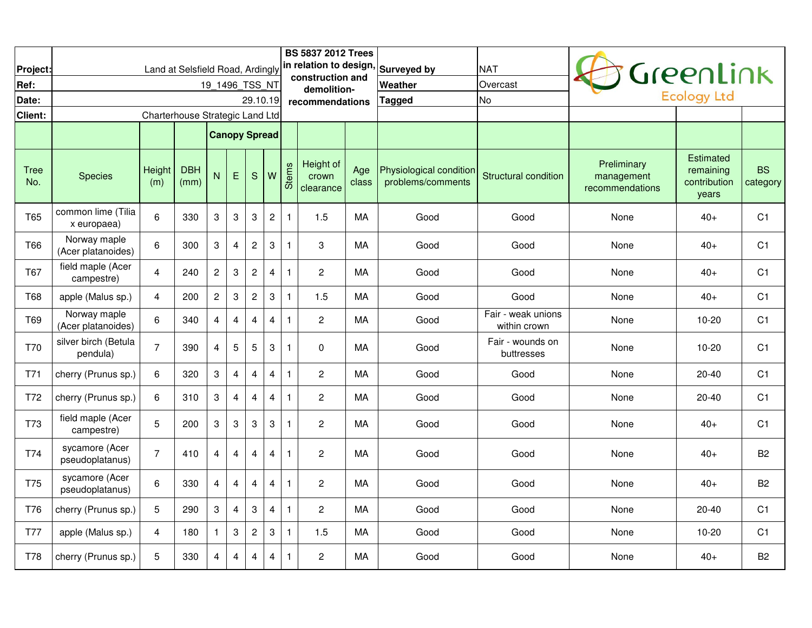| Project:           |                                    |                                 | Land at Selsfield Road, Ardingly |                           |                         |                           |                           |              | <b>BS 5837 2012 Trees</b>       |              | in relation to design, Surveyed by           | <b>NAT</b>                         |                                              | Greenlink                                              |                       |
|--------------------|------------------------------------|---------------------------------|----------------------------------|---------------------------|-------------------------|---------------------------|---------------------------|--------------|---------------------------------|--------------|----------------------------------------------|------------------------------------|----------------------------------------------|--------------------------------------------------------|-----------------------|
| Ref:               |                                    |                                 |                                  | 19_1496_TSS_NT            |                         |                           |                           |              | construction and<br>demolition- |              | <b>Weather</b>                               | Overcast                           |                                              |                                                        |                       |
| Date:              |                                    |                                 |                                  |                           |                         | 29.10.19                  |                           |              | recommendations                 |              | Tagged                                       | <b>No</b>                          |                                              | <b>Ecology Ltd</b>                                     |                       |
| Client:            |                                    | Charterhouse Strategic Land Ltd |                                  |                           |                         |                           |                           |              |                                 |              |                                              |                                    |                                              |                                                        |                       |
|                    |                                    |                                 |                                  | <b>Canopy Spread</b>      |                         |                           |                           |              |                                 |              |                                              |                                    |                                              |                                                        |                       |
| <b>Tree</b><br>No. | <b>Species</b>                     | Height<br>(m)                   | <b>DBH</b><br>(mm)               | N                         | E                       | S                         | W                         | <b>Stems</b> | Height of<br>crown<br>clearance | Age<br>class | Physiological condition<br>problems/comments | <b>Structural condition</b>        | Preliminary<br>management<br>recommendations | <b>Estimated</b><br>remaining<br>contribution<br>years | <b>BS</b><br>category |
| T65                | common lime (Tilia<br>x europaea)  | 6                               | 330                              | $\ensuremath{\mathsf{3}}$ | $\sqrt{3}$              | $\ensuremath{\mathsf{3}}$ | $\mathbf{2}$              | $\mathbf{1}$ | 1.5                             | MA           | Good                                         | Good                               | None                                         | $40+$                                                  | C <sub>1</sub>        |
| <b>T66</b>         | Norway maple<br>(Acer platanoides) | 6                               | 300                              | 3                         | $\overline{\mathbf{4}}$ | $\overline{c}$            | 3                         | $\mathbf{1}$ | 3                               | MA           | Good                                         | Good                               | None                                         | $40+$                                                  | C <sub>1</sub>        |
| T67                | field maple (Acer<br>campestre)    | $\overline{4}$                  | 240                              | $\sqrt{2}$                | $\sqrt{3}$              | $\boldsymbol{2}$          | $\overline{4}$            | $\mathbf{1}$ | $\overline{c}$                  | МA           | Good                                         | Good                               | None                                         | $40+$                                                  | C <sub>1</sub>        |
| T68                | apple (Malus sp.)                  | 4                               | 200                              | $\sqrt{2}$                | $\sqrt{3}$              | $\sqrt{2}$                | $\sqrt{3}$                | $\mathbf{1}$ | 1.5                             | MA           | Good                                         | Good                               | None                                         | $40+$                                                  | C <sub>1</sub>        |
| T69                | Norway maple<br>(Acer platanoides) | 6                               | 340                              | 4                         | 4                       | 4                         | $\overline{4}$            | $\mathbf{1}$ | $\overline{c}$                  | МA           | Good                                         | Fair - weak unions<br>within crown | None                                         | 10-20                                                  | C <sub>1</sub>        |
| T70                | silver birch (Betula<br>pendula)   | $\overline{7}$                  | 390                              | 4                         | $\overline{5}$          | 5                         | $\mathsf 3$               | $\mathbf{1}$ | 0                               | МA           | Good                                         | Fair - wounds on<br>buttresses     | None                                         | $10 - 20$                                              | C <sub>1</sub>        |
| T71                | cherry (Prunus sp.)                | 6                               | 320                              | 3                         | $\overline{4}$          | $\overline{4}$            | $\overline{4}$            | $\mathbf{1}$ | $\overline{c}$                  | MA           | Good                                         | Good                               | None                                         | $20 - 40$                                              | C <sub>1</sub>        |
| T72                | cherry (Prunus sp.)                | 6                               | 310                              | 3                         | $\overline{4}$          | 4                         | $\overline{4}$            | $\mathbf{1}$ | $\overline{c}$                  | МA           | Good                                         | Good                               | None                                         | $20 - 40$                                              | C <sub>1</sub>        |
| T73                | field maple (Acer<br>campestre)    | 5                               | 200                              | 3                         | $\sqrt{3}$              | $\ensuremath{\mathsf{3}}$ | $\sqrt{3}$                | $\mathbf{1}$ | $\overline{c}$                  | МA           | Good                                         | Good                               | None                                         | $40+$                                                  | C <sub>1</sub>        |
| T74                | sycamore (Acer<br>pseudoplatanus)  | $\overline{7}$                  | 410                              | 4                         | $\overline{4}$          | 4                         | $\overline{4}$            | $\mathbf{1}$ | $\overline{c}$                  | МA           | Good                                         | Good                               | None                                         | $40+$                                                  | B <sub>2</sub>        |
| T75                | sycamore (Acer<br>pseudoplatanus)  | 6                               | 330                              | $\overline{4}$            | $\overline{4}$          | 4                         | $\overline{4}$            | $\mathbf{1}$ | $\overline{c}$                  | МA           | Good                                         | Good                               | None                                         | $40+$                                                  | <b>B2</b>             |
| T76                | cherry (Prunus sp.)                | 5                               | 290                              | 3                         | $\overline{4}$          | 3                         | $\overline{4}$            | $\mathbf{1}$ | $\overline{c}$                  | MA           | Good                                         | Good                               | None                                         | $20 - 40$                                              | C <sub>1</sub>        |
| <b>T77</b>         | apple (Malus sp.)                  | 4                               | 180                              | $\mathbf{1}$              | $\sqrt{3}$              | $\sqrt{2}$                | $\ensuremath{\mathsf{3}}$ | $\mathbf{1}$ | 1.5                             | МA           | Good                                         | Good                               | None                                         | $10 - 20$                                              | C <sub>1</sub>        |
| T78                | cherry (Prunus sp.)                | 5                               | 330                              | $\overline{4}$            | 4                       | $\overline{4}$            | $\overline{4}$            | $\mathbf{1}$ | $\overline{c}$                  | МA           | Good                                         | Good                               | None                                         | $40+$                                                  | <b>B2</b>             |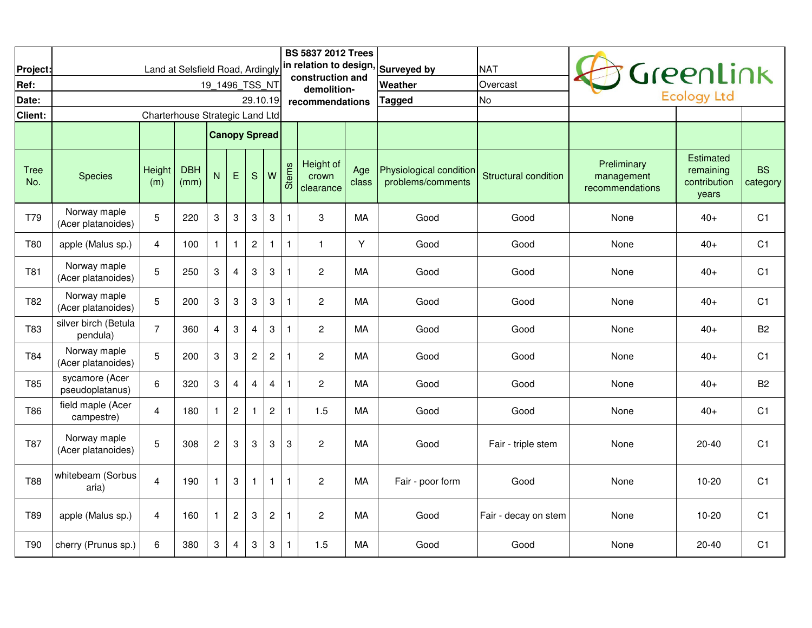| Project:           |                                    | Land at Selsfield Road, Ardingly |                    |                           |                           |                           |                           |              | <b>BS 5837 2012 Trees</b><br>construction and |              | in relation to design, Surveyed by           | <b>NAT</b>                  |                                              | Greenlink                                              |                       |
|--------------------|------------------------------------|----------------------------------|--------------------|---------------------------|---------------------------|---------------------------|---------------------------|--------------|-----------------------------------------------|--------------|----------------------------------------------|-----------------------------|----------------------------------------------|--------------------------------------------------------|-----------------------|
| Ref:               |                                    |                                  |                    | 19 1496 TSS NT            |                           |                           |                           |              | demolition-                                   |              | <b>Weather</b>                               | Overcast                    |                                              | <b>Ecology Ltd</b>                                     |                       |
| Date:              |                                    |                                  |                    |                           |                           | 29.10.19                  |                           |              | recommendations                               |              | Tagged                                       | <b>No</b>                   |                                              |                                                        |                       |
| Client:            |                                    | Charterhouse Strategic Land Ltd  |                    |                           |                           |                           |                           |              |                                               |              |                                              |                             |                                              |                                                        |                       |
|                    |                                    |                                  |                    | <b>Canopy Spread</b>      |                           |                           |                           |              |                                               |              |                                              |                             |                                              |                                                        |                       |
| <b>Tree</b><br>No. | <b>Species</b>                     | Height<br>(m)                    | <b>DBH</b><br>(mm) | N                         | E                         | $\mathbf S$               | W                         | Stems        | Height of<br>crown<br>clearance               | Age<br>class | Physiological condition<br>problems/comments | <b>Structural condition</b> | Preliminary<br>management<br>recommendations | <b>Estimated</b><br>remaining<br>contribution<br>years | <b>BS</b><br>category |
| T79                | Norway maple<br>(Acer platanoides) | 5                                | 220                | 3                         | $\sqrt{3}$                | 3                         | $\ensuremath{\mathsf{3}}$ | $\mathbf{1}$ | 3                                             | MA           | Good                                         | Good                        | None                                         | $40+$                                                  | C <sub>1</sub>        |
| T80                | apple (Malus sp.)                  | 4                                | 100                | $\mathbf{1}$              | $\mathbf{1}$              | $\boldsymbol{2}$          | $\mathbf{1}$              | $\mathbf{1}$ | 1                                             | Υ            | Good                                         | Good                        | None                                         | $40+$                                                  | C <sub>1</sub>        |
| T81                | Norway maple<br>(Acer platanoides) | 5                                | 250                | 3                         | $\overline{4}$            | 3                         | 3                         | $\mathbf{1}$ | $\overline{2}$                                | MA           | Good                                         | Good                        | None                                         | $40+$                                                  | C <sub>1</sub>        |
| T82                | Norway maple<br>(Acer platanoides) | 5                                | 200                | $\ensuremath{\mathsf{3}}$ | $\sqrt{3}$                | $\ensuremath{\mathsf{3}}$ | $\ensuremath{\mathsf{3}}$ | $\mathbf{1}$ | $\overline{c}$                                | МA           | Good                                         | Good                        | None                                         | $40+$                                                  | C <sub>1</sub>        |
| T83                | silver birch (Betula<br>pendula)   | $\overline{7}$                   | 360                | $\overline{4}$            | $\sqrt{3}$                | 4                         | 3                         | $\mathbf{1}$ | $\overline{2}$                                | MA           | Good                                         | Good                        | None                                         | $40+$                                                  | B <sub>2</sub>        |
| T84                | Norway maple<br>(Acer platanoides) | 5                                | 200                | 3                         | $\sqrt{3}$                | $\overline{c}$            | $\overline{c}$            | $\mathbf{1}$ | $\overline{2}$                                | MA           | Good                                         | Good                        | None                                         | $40+$                                                  | C <sub>1</sub>        |
| T85                | sycamore (Acer<br>pseudoplatanus)  | 6                                | 320                | $\ensuremath{\mathsf{3}}$ | $\overline{\mathbf{4}}$   | 4                         | $\overline{\mathbf{4}}$   | $\mathbf{1}$ | $\overline{c}$                                | МA           | Good                                         | Good                        | None                                         | $40+$                                                  | B <sub>2</sub>        |
| T86                | field maple (Acer<br>campestre)    | 4                                | 180                | $\mathbf{1}$              | $\overline{c}$            | 1                         | $\sqrt{2}$                | $\mathbf{1}$ | 1.5                                           | МA           | Good                                         | Good                        | None                                         | 40+                                                    | C <sub>1</sub>        |
| T87                | Norway maple<br>(Acer platanoides) | 5                                | 308                | $\boldsymbol{2}$          | 3                         | 3                         | 3                         | 3            | $\overline{c}$                                | MA           | Good                                         | Fair - triple stem          | None                                         | $20 - 40$                                              | C <sub>1</sub>        |
| <b>T88</b>         | whitebeam (Sorbus<br>aria)         | $\overline{4}$                   | 190                | $\mathbf{1}$              | $\ensuremath{\mathsf{3}}$ | 1                         | $\mathbf{1}$              | $\mathbf{1}$ | $\sqrt{2}$                                    | MA           | Fair - poor form                             | Good                        | None                                         | $10 - 20$                                              | C <sub>1</sub>        |
| T89                | apple (Malus sp.)                  | 4                                | 160                | $\mathbf{1}$              | $\sqrt{2}$                | $\ensuremath{\mathsf{3}}$ | $\sqrt{2}$                | $\mathbf{1}$ | $\overline{2}$                                | MA           | Good                                         | Fair - decay on stem        | None                                         | $10 - 20$                                              | C <sub>1</sub>        |
| T90                | cherry (Prunus sp.)                | 6                                | 380                | 3                         | $\overline{4}$            | 3                         | $\mathbf{3}$              | $\mathbf{1}$ | 1.5                                           | MA           | Good                                         | Good                        | None                                         | $20 - 40$                                              | C <sub>1</sub>        |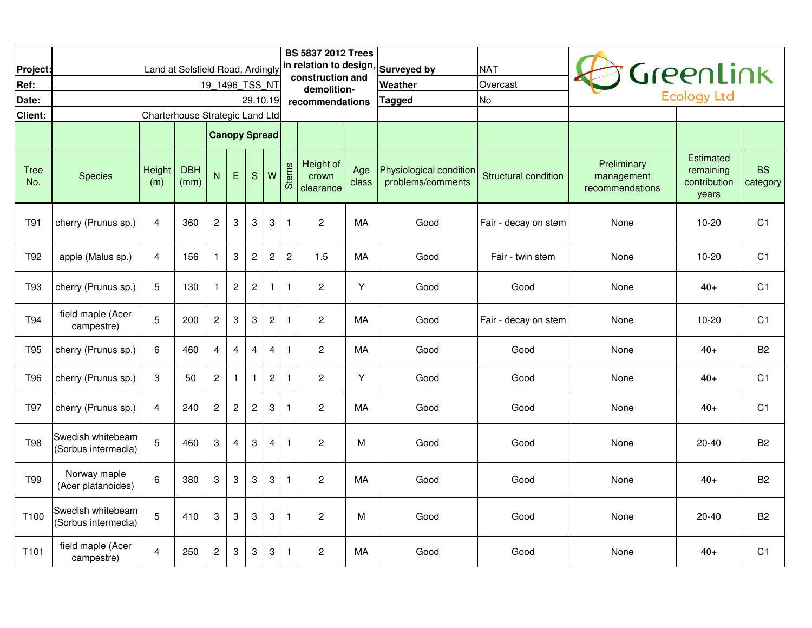| Project:           |                                          |                                 | Land at Selsfield Road, Ardingly |                           |                         |                           |                           |              | <b>BS 5837 2012 Trees</b>       |              | in relation to design, Surveyed by           | <b>NAT</b>           |                                              |                                                 |                       |
|--------------------|------------------------------------------|---------------------------------|----------------------------------|---------------------------|-------------------------|---------------------------|---------------------------|--------------|---------------------------------|--------------|----------------------------------------------|----------------------|----------------------------------------------|-------------------------------------------------|-----------------------|
| Ref:               |                                          |                                 |                                  | 19 1496 TSS NT            |                         |                           |                           |              | construction and<br>demolition- |              | <b>Weather</b>                               | Overcast             |                                              | Greenlink                                       |                       |
| Date:              |                                          |                                 |                                  |                           |                         | 29.10.19                  |                           |              | recommendations                 |              | Tagged                                       | <b>No</b>            |                                              | <b>Ecology Ltd</b>                              |                       |
| Client:            |                                          | Charterhouse Strategic Land Ltd |                                  |                           |                         |                           |                           |              |                                 |              |                                              |                      |                                              |                                                 |                       |
|                    |                                          |                                 |                                  | <b>Canopy Spread</b>      |                         |                           |                           |              |                                 |              |                                              |                      |                                              |                                                 |                       |
| <b>Tree</b><br>No. | <b>Species</b>                           | Height<br>(m)                   | <b>DBH</b><br>(mm)               | N                         | E                       | S                         | W                         | <b>Stems</b> | Height of<br>crown<br>clearance | Age<br>class | Physiological condition<br>problems/comments | Structural condition | Preliminary<br>management<br>recommendations | Estimated<br>remaining<br>contribution<br>years | <b>BS</b><br>category |
| T91                | cherry (Prunus sp.)                      | 4                               | 360                              | $\overline{\mathbf{c}}$   | $\sqrt{3}$              | 3                         | $\ensuremath{\mathsf{3}}$ | $\mathbf{1}$ | $\overline{\mathbf{c}}$         | MA           | Good                                         | Fair - decay on stem | None                                         | 10-20                                           | C <sub>1</sub>        |
| T92                | apple (Malus sp.)                        | 4                               | 156                              | $\mathbf{1}$              | $\sqrt{3}$              | $\overline{c}$            | $\overline{c}$            | $\mathbf{2}$ | 1.5                             | МA           | Good                                         | Fair - twin stem     | None                                         | $10 - 20$                                       | C <sub>1</sub>        |
| T93                | cherry (Prunus sp.)                      | 5                               | 130                              | $\mathbf{1}$              | $\overline{c}$          | $\boldsymbol{2}$          | $\mathbf{1}$              | $\mathbf{1}$ | $\overline{c}$                  | Y            | Good                                         | Good                 | None                                         | $40+$                                           | C <sub>1</sub>        |
| T94                | field maple (Acer<br>campestre)          | 5                               | 200                              | $\boldsymbol{2}$          | $\sqrt{3}$              | 3                         | $\overline{c}$            | $\mathbf{1}$ | $\overline{c}$                  | МA           | Good                                         | Fair - decay on stem | None                                         | $10 - 20$                                       | C <sub>1</sub>        |
| T95                | cherry (Prunus sp.)                      | 6                               | 460                              | $\overline{\mathbf{4}}$   | $\overline{\mathbf{4}}$ | $\overline{4}$            | $\overline{\mathbf{4}}$   | $\mathbf{1}$ | $\overline{c}$                  | МA           | Good                                         | Good                 | None                                         | $40+$                                           | B <sub>2</sub>        |
| T96                | cherry (Prunus sp.)                      | 3                               | 50                               | $\overline{c}$            | $\mathbf{1}$            | $\mathbf{1}$              | $\overline{c}$            | $\mathbf{1}$ | $\overline{\mathbf{c}}$         | Y            | Good                                         | Good                 | None                                         | $40+$                                           | C <sub>1</sub>        |
| T97                | cherry (Prunus sp.)                      | 4                               | 240                              | $\overline{\mathbf{c}}$   | $\sqrt{2}$              | $\overline{c}$            | $\ensuremath{\mathsf{3}}$ | $\mathbf{1}$ | $\overline{c}$                  | MA           | Good                                         | Good                 | None                                         | $40+$                                           | C <sub>1</sub>        |
| T98                | Swedish whitebeam<br>(Sorbus intermedia) | 5                               | 460                              | 3                         | $\overline{4}$          | $\ensuremath{\mathsf{3}}$ | $\overline{4}$            | $\mathbf{1}$ | $\overline{c}$                  | M            | Good                                         | Good                 | None                                         | $20 - 40$                                       | <b>B2</b>             |
| <b>T99</b>         | Norway maple<br>(Acer platanoides)       | 6                               | 380                              | $\boldsymbol{3}$          | 3                       | 3                         | 3                         | $\mathbf{1}$ | $\overline{c}$                  | MA           | Good                                         | Good                 | None                                         | $40+$                                           | <b>B2</b>             |
| T100               | Swedish whitebeam<br>(Sorbus intermedia) | 5                               | 410                              | $\ensuremath{\mathsf{3}}$ | $\boldsymbol{3}$        | $\ensuremath{\mathsf{3}}$ | $\ensuremath{\mathsf{3}}$ | $\mathbf{1}$ | $\overline{\mathbf{c}}$         | M            | Good                                         | Good                 | None                                         | $20 - 40$                                       | <b>B2</b>             |
| T101               | field maple (Acer<br>campestre)          | 4                               | 250                              | $\overline{c}$            | $\sqrt{3}$              | 3                         | 3                         | $\mathbf{1}$ | $\overline{c}$                  | MA           | Good                                         | Good                 | None                                         | $40+$                                           | C <sub>1</sub>        |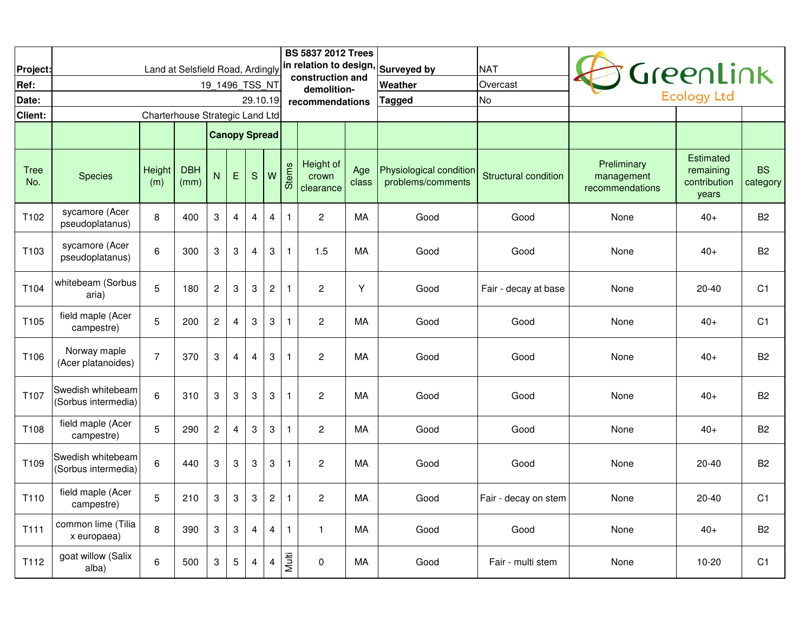| Project:<br>Ref:   |                                          |                                 | Land at Selsfield Road, Ardingly | 19 1496 TSS NT            |                         |                  |                           |              | <b>BS 5837 2012 Trees</b><br>in relation to design,<br>construction and |              | <b>Surveyed by</b><br>Weather                | <b>NAT</b><br>Overcast      |                                              | GreenLink                                              |                       |
|--------------------|------------------------------------------|---------------------------------|----------------------------------|---------------------------|-------------------------|------------------|---------------------------|--------------|-------------------------------------------------------------------------|--------------|----------------------------------------------|-----------------------------|----------------------------------------------|--------------------------------------------------------|-----------------------|
| Date:              |                                          |                                 |                                  |                           |                         | 29.10.19         |                           |              | demolition-<br>recommendations                                          |              | <b>Tagged</b>                                | <b>No</b>                   |                                              | <b>Ecology Ltd</b>                                     |                       |
| Client:            |                                          | Charterhouse Strategic Land Ltd |                                  |                           |                         |                  |                           |              |                                                                         |              |                                              |                             |                                              |                                                        |                       |
|                    |                                          |                                 |                                  | <b>Canopy Spread</b>      |                         |                  |                           |              |                                                                         |              |                                              |                             |                                              |                                                        |                       |
| <b>Tree</b><br>No. | <b>Species</b>                           | Height<br>(m)                   | <b>DBH</b><br>(mm)               | N                         | E                       | ${\mathsf S}$    | W                         | <b>Stems</b> | Height of<br>crown<br>clearance                                         | Age<br>class | Physiological condition<br>problems/comments | <b>Structural condition</b> | Preliminary<br>management<br>recommendations | <b>Estimated</b><br>remaining<br>contribution<br>years | <b>BS</b><br>category |
| T102               | sycamore (Acer<br>pseudoplatanus)        | 8                               | 400                              | $\boldsymbol{3}$          | $\overline{4}$          | 4                | $\overline{4}$            | $\mathbf{1}$ | $\overline{c}$                                                          | МA           | Good                                         | Good                        | None                                         | $40+$                                                  | B <sub>2</sub>        |
| T103               | sycamore (Acer<br>pseudoplatanus)        | 6                               | 300                              | 3                         | $\sqrt{3}$              | 4                | $\mathbf{3}$              | $\mathbf{1}$ | 1.5                                                                     | MA           | Good                                         | Good                        | None                                         | $40+$                                                  | B <sub>2</sub>        |
| T104               | whitebeam (Sorbus<br>aria)               | 5                               | 180                              | $\boldsymbol{2}$          | $\sqrt{3}$              | 3                | $\sqrt{2}$                | $\mathbf{1}$ | $\overline{c}$                                                          | Y            | Good                                         | Fair - decay at base        | None                                         | $20 - 40$                                              | C <sub>1</sub>        |
| T <sub>105</sub>   | field maple (Acer<br>campestre)          | 5                               | 200                              | $\overline{c}$            | $\overline{4}$          | 3                | 3                         | $\mathbf{1}$ | $\overline{2}$                                                          | MA           | Good                                         | Good                        | None                                         | $40+$                                                  | C <sub>1</sub>        |
| T106               | Norway maple<br>(Acer platanoides)       | $\overline{7}$                  | 370                              | $\ensuremath{\mathsf{3}}$ | $\overline{\mathbf{4}}$ | 4                | 3                         | $\mathbf{1}$ | $\overline{c}$                                                          | МA           | Good                                         | Good                        | None                                         | $40+$                                                  | B <sub>2</sub>        |
| T <sub>107</sub>   | Swedish whitebeam<br>(Sorbus intermedia) | 6                               | 310                              | $\boldsymbol{3}$          | $\sqrt{3}$              | $\boldsymbol{3}$ | 3                         | $\mathbf{1}$ | $\overline{c}$                                                          | MA           | Good                                         | Good                        | None                                         | $40+$                                                  | B <sub>2</sub>        |
| T108               | field maple (Acer<br>campestre)          | 5                               | 290                              | $\boldsymbol{2}$          | $\overline{4}$          | 3                | $\ensuremath{\mathsf{3}}$ | $\mathbf{1}$ | $\overline{2}$                                                          | МA           | Good                                         | Good                        | None                                         | $40+$                                                  | B <sub>2</sub>        |
| T109               | Swedish whitebeam<br>(Sorbus intermedia) | 6                               | 440                              | 3                         | $\sqrt{3}$              | 3                | 3                         | $\mathbf{1}$ | $\overline{c}$                                                          | МA           | Good                                         | Good                        | None                                         | $20 - 40$                                              | B <sub>2</sub>        |
| T <sub>110</sub>   | field maple (Acer<br>campestre)          | 5                               | 210                              | $\ensuremath{\mathsf{3}}$ | $\boldsymbol{3}$        | 3                | $\sqrt{2}$                | $\mathbf{1}$ | 2                                                                       | МA           | Good                                         | Fair - decay on stem        | None                                         | $20 - 40$                                              | C <sub>1</sub>        |
| T <sub>111</sub>   | common lime (Tilia<br>x europaea)        | 8                               | 390                              | $\ensuremath{\mathsf{3}}$ | $\sqrt{3}$              | $\overline{4}$   | $\overline{4}$            | $\mathbf{1}$ | 1                                                                       | MA           | Good                                         | Good                        | None                                         | $40+$                                                  | B <sub>2</sub>        |
| T112               | goat willow (Salix<br>alba)              | 6                               | 500                              | 3                         | $\sqrt{5}$              | 4                | 4                         | Multi        | 0                                                                       | МA           | Good                                         | Fair - multi stem           | None                                         | 10-20                                                  | C <sub>1</sub>        |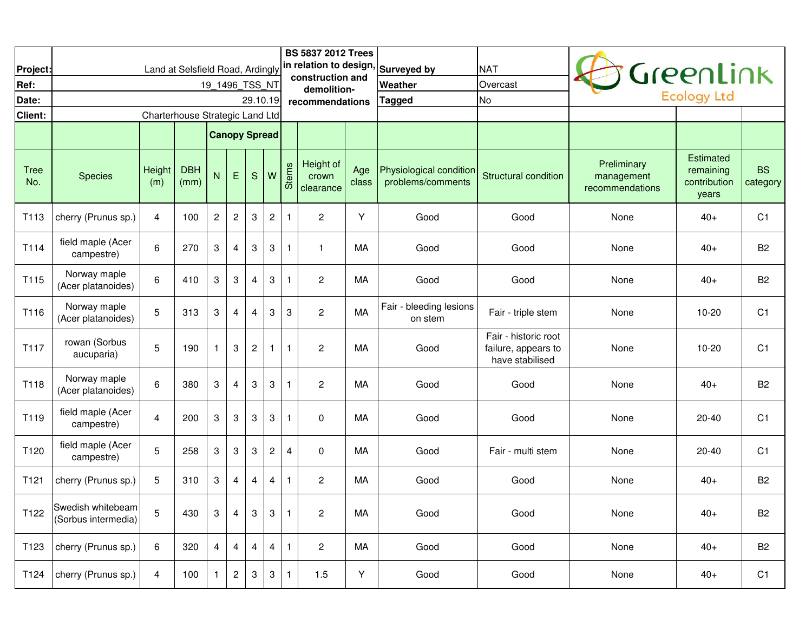| Project:           |                                          |                                 |                    |                      |                         |                  |                |                | <b>BS 5837 2012 Trees</b><br>construction and |              | Land at Selsfield Road, Ardingly in relation to design, Surveyed by | <b>NAT</b>                                                     |                                              | GreenLink                                       |                       |
|--------------------|------------------------------------------|---------------------------------|--------------------|----------------------|-------------------------|------------------|----------------|----------------|-----------------------------------------------|--------------|---------------------------------------------------------------------|----------------------------------------------------------------|----------------------------------------------|-------------------------------------------------|-----------------------|
| Ref:               |                                          |                                 |                    | 19_1496_TSS_NT       |                         |                  |                |                | demolition-                                   |              | Weather                                                             | Overcast                                                       |                                              | Ecology Ltd                                     |                       |
| Date:              |                                          |                                 |                    |                      |                         | 29.10.19         |                |                | recommendations                               |              | Tagged                                                              | <b>No</b>                                                      |                                              |                                                 |                       |
| Client:            |                                          | Charterhouse Strategic Land Ltd |                    |                      |                         |                  |                |                |                                               |              |                                                                     |                                                                |                                              |                                                 |                       |
|                    |                                          |                                 |                    | <b>Canopy Spread</b> |                         |                  |                |                |                                               |              |                                                                     |                                                                |                                              |                                                 |                       |
| <b>Tree</b><br>No. | <b>Species</b>                           | Height<br>(m)                   | <b>DBH</b><br>(mm) | N                    | $\mathsf E$             | S                | W              | Stems          | Height of<br>crown<br>clearance               | Age<br>class | Physiological condition<br>problems/comments                        | <b>Structural condition</b>                                    | Preliminary<br>management<br>recommendations | Estimated<br>remaining<br>contribution<br>years | <b>BS</b><br>category |
| T <sub>113</sub>   | cherry (Prunus sp.)                      | 4                               | 100                | $\overline{c}$       | $\sqrt{2}$              | 3                | $\mathbf{2}$   | $\mathbf{1}$   | $\boldsymbol{2}$                              | Υ            | Good                                                                | Good                                                           | None                                         | $40+$                                           | C <sub>1</sub>        |
| T114               | field maple (Acer<br>campestre)          | $6\phantom{1}$                  | 270                | 3                    | $\overline{\mathbf{4}}$ | 3                | 3              | $\mathbf{1}$   | $\mathbf{1}$                                  | MA           | Good                                                                | Good                                                           | None                                         | $40+$                                           | <b>B2</b>             |
| T115               | Norway maple<br>(Acer platanoides)       | 6                               | 410                | 3                    | 3                       | 4                | 3              | $\overline{1}$ | $\overline{c}$                                | MA           | Good                                                                | Good                                                           | None                                         | $40+$                                           | <b>B2</b>             |
| T116               | Norway maple<br>(Acer platanoides)       | 5                               | 313                | 3                    | $\overline{4}$          | $\overline{4}$   | 3              | 3              | $\overline{c}$                                | MA           | Fair - bleeding lesions<br>on stem                                  | Fair - triple stem                                             | None                                         | $10 - 20$                                       | C <sub>1</sub>        |
| T117               | rowan (Sorbus<br>aucuparia)              | 5                               | 190                | $\mathbf{1}$         | 3                       | $\boldsymbol{2}$ | $\mathbf{1}$   | $\mathbf{1}$   | $\overline{c}$                                | МA           | Good                                                                | Fair - historic root<br>failure, appears to<br>have stabilised | None                                         | $10 - 20$                                       | C <sub>1</sub>        |
| T118               | Norway maple<br>(Acer platanoides)       | 6                               | 380                | 3                    | $\overline{4}$          | 3                | $\,3$          | $\overline{1}$ | $\overline{c}$                                | MA           | Good                                                                | Good                                                           | None                                         | $40+$                                           | <b>B2</b>             |
| T119               | field maple (Acer<br>campestre)          | 4                               | 200                | 3                    | 3                       | 3                | 3              | $\mathbf{1}$   | $\Omega$                                      | MA           | Good                                                                | Good                                                           | None                                         | $20 - 40$                                       | C <sub>1</sub>        |
| T120               | field maple (Acer<br>campestre)          | 5                               | 258                | 3                    | 3                       | 3                | $\overline{c}$ | $\overline{4}$ | $\mathbf 0$                                   | MA           | Good                                                                | Fair - multi stem                                              | None                                         | $20 - 40$                                       | C <sub>1</sub>        |
| T121               | cherry (Prunus sp.)                      | 5                               | 310                | 3                    | 4                       | 4                | $\overline{4}$ | $\mathbf{1}$   | $\overline{c}$                                | MA           | Good                                                                | Good                                                           | None                                         | $40+$                                           | <b>B2</b>             |
| T122               | Swedish whitebeam<br>(Sorbus intermedia) | 5                               | 430                | 3                    | 4                       | 3                | 3              | $\mathbf{1}$   | $\boldsymbol{2}$                              | MA           | Good                                                                | Good                                                           | None                                         | $40+$                                           | <b>B2</b>             |
| T123               | cherry (Prunus sp.)                      | 6                               | 320                | 4                    | 4                       | $\overline{4}$   | $\overline{4}$ | $\mathbf{1}$   | $\mathbf{2}$                                  | МA           | Good                                                                | Good                                                           | None                                         | $40+$                                           | B <sub>2</sub>        |
| T124               | cherry (Prunus sp.)                      | 4                               | 100                | $\mathbf{1}$         | $\overline{c}$          | 3                | 3              | $\mathbf{1}$   | 1.5                                           | Υ            | Good                                                                | Good                                                           | None                                         | $40+$                                           | C <sub>1</sub>        |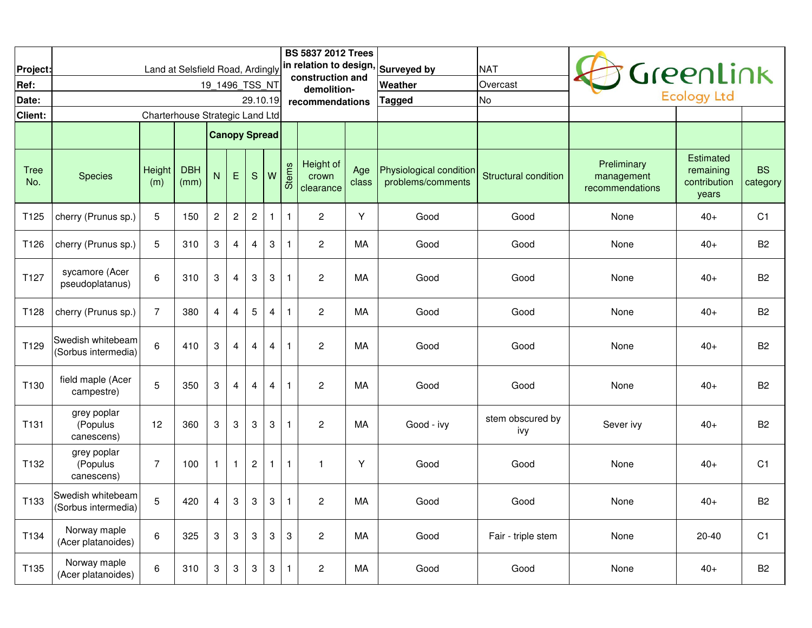|                    |                                          |                                 |                    |                      |                         |                         |                         |              | <b>BS 5837 2012 Trees</b>       |              |                                                                     |                             |                                              |                                                        |                       |
|--------------------|------------------------------------------|---------------------------------|--------------------|----------------------|-------------------------|-------------------------|-------------------------|--------------|---------------------------------|--------------|---------------------------------------------------------------------|-----------------------------|----------------------------------------------|--------------------------------------------------------|-----------------------|
| Project:           |                                          |                                 |                    |                      |                         |                         |                         |              | construction and                |              | Land at Selsfield Road, Ardingly in relation to design, Surveyed by | <b>NAT</b>                  |                                              | GreenLink                                              |                       |
| Ref:<br>Date:      |                                          |                                 |                    | 19 1496 TSS NT       |                         |                         |                         |              | demolition-                     |              | Weather                                                             | Overcast<br><b>No</b>       |                                              | <b>Ecology Ltd</b>                                     |                       |
| Client:            |                                          | Charterhouse Strategic Land Ltd |                    |                      |                         | 29.10.19                |                         |              | recommendations                 |              | Tagged                                                              |                             |                                              |                                                        |                       |
|                    |                                          |                                 |                    |                      |                         |                         |                         |              |                                 |              |                                                                     |                             |                                              |                                                        |                       |
|                    |                                          |                                 |                    | <b>Canopy Spread</b> |                         |                         |                         |              |                                 |              |                                                                     |                             |                                              |                                                        |                       |
| <b>Tree</b><br>No. | <b>Species</b>                           | Height<br>(m)                   | <b>DBH</b><br>(mm) | ${\sf N}$            | $\mathsf E$             | S                       | W                       | <b>Stems</b> | Height of<br>crown<br>clearance | Age<br>class | Physiological condition<br>problems/comments                        | <b>Structural condition</b> | Preliminary<br>management<br>recommendations | <b>Estimated</b><br>remaining<br>contribution<br>years | <b>BS</b><br>category |
| T125               | cherry (Prunus sp.)                      | 5                               | 150                | $\overline{c}$       | $\sqrt{2}$              | $\overline{\mathbf{c}}$ | $\mathbf{1}$            | $\mathbf{1}$ | $\overline{c}$                  | Υ            | Good                                                                | Good                        | None                                         | $40+$                                                  | C <sub>1</sub>        |
| T126               | cherry (Prunus sp.)                      | 5                               | 310                | $\sqrt{3}$           | $\overline{4}$          | $\overline{4}$          | $\sqrt{3}$              | $\mathbf{1}$ | $\mathbf{2}$                    | MA           | Good                                                                | Good                        | None                                         | $40+$                                                  | B <sub>2</sub>        |
| T127               | sycamore (Acer<br>pseudoplatanus)        | 6                               | 310                | $\sqrt{3}$           | $\overline{4}$          | 3                       | $\sqrt{3}$              | $\mathbf{1}$ | $\overline{c}$                  | MA           | Good                                                                | Good                        | None                                         | $40+$                                                  | B <sub>2</sub>        |
| T128               | cherry (Prunus sp.)                      | $\overline{7}$                  | 380                | $\overline{4}$       | $\overline{4}$          | 5                       | 4                       | $\mathbf{1}$ | $\mathbf{2}$                    | MA           | Good                                                                | Good                        | None                                         | $40+$                                                  | B <sub>2</sub>        |
| T129               | Swedish whitebeam<br>(Sorbus intermedia) | 6                               | 410                | $\mathbf 3$          | $\overline{\mathbf{4}}$ | $\overline{4}$          | $\overline{\mathbf{4}}$ | $\mathbf{1}$ | $\overline{c}$                  | MA           | Good                                                                | Good                        | None                                         | $40+$                                                  | B <sub>2</sub>        |
| T130               | field maple (Acer<br>campestre)          | 5                               | 350                | $\mathbf{3}$         | $\overline{\mathbf{4}}$ | 4                       | $\overline{4}$          | $\mathbf{1}$ | $\overline{c}$                  | МA           | Good                                                                | Good                        | None                                         | $40+$                                                  | B <sub>2</sub>        |
| T131               | grey poplar<br>(Populus<br>canescens)    | 12                              | 360                | $\mathbf{3}$         | $\,3$                   | 3                       | $\mathbf{3}$            | $\mathbf{1}$ | $\boldsymbol{2}$                | MA           | Good - ivy                                                          | stem obscured by<br>ivy     | Sever ivy                                    | $40+$                                                  | B <sub>2</sub>        |
| T132               | grey poplar<br>(Populus<br>canescens)    | $\overline{7}$                  | 100                | $\mathbf{1}$         | $\mathbf{1}$            | $\boldsymbol{2}$        | $\mathbf{1}$            | $\mathbf{1}$ | $\mathbf 1$                     | Y            | Good                                                                | Good                        | None                                         | $40+$                                                  | C <sub>1</sub>        |
| T133               | Swedish whitebeam<br>(Sorbus intermedia) | 5                               | 420                | $\overline{4}$       | 3                       | $\mathbf{3}$            | $\mathbf{3}$            | $\mathbf{1}$ | 2                               | MA           | Good                                                                | Good                        | None                                         | $40+$                                                  | B <sub>2</sub>        |
| T134               | Norway maple<br>(Acer platanoides)       | $\,6$                           | 325                | $\mathbf 3$          | $\sqrt{3}$              | 3                       | 3                       | $\sqrt{3}$   | $\overline{c}$                  | MA           | Good                                                                | Fair - triple stem          | None                                         | $20 - 40$                                              | C <sub>1</sub>        |
| T135               | Norway maple<br>(Acer platanoides)       | $\,6\,$                         | 310                | 3                    | 3                       | 3                       | $\mathbf{3}$            | $\mathbf{1}$ | $\overline{\mathbf{c}}$         | МA           | Good                                                                | Good                        | None                                         | $40+$                                                  | B <sub>2</sub>        |